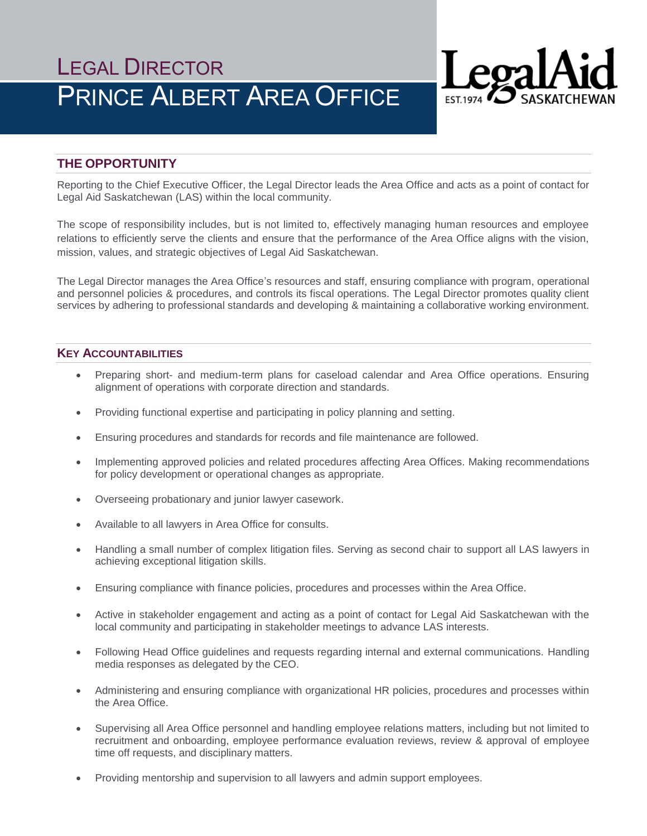# LEGAL DIRECTOR PRINCE ALBERT AREA OFFICE



# **THE OPPORTUNITY**

Reporting to the Chief Executive Officer, the Legal Director leads the Area Office and acts as a point of contact for Legal Aid Saskatchewan (LAS) within the local community.

The scope of responsibility includes, but is not limited to, effectively managing human resources and employee relations to efficiently serve the clients and ensure that the performance of the Area Office aligns with the vision, mission, values, and strategic objectives of Legal Aid Saskatchewan.

The Legal Director manages the Area Office's resources and staff, ensuring compliance with program, operational and personnel policies & procedures, and controls its fiscal operations. The Legal Director promotes quality client services by adhering to professional standards and developing & maintaining a collaborative working environment.

# **KEY ACCOUNTABILITIES**

- Preparing short- and medium-term plans for caseload calendar and Area Office operations. Ensuring alignment of operations with corporate direction and standards.
- Providing functional expertise and participating in policy planning and setting.
- Ensuring procedures and standards for records and file maintenance are followed.
- Implementing approved policies and related procedures affecting Area Offices. Making recommendations for policy development or operational changes as appropriate.
- Overseeing probationary and junior lawyer casework.
- Available to all lawyers in Area Office for consults.
- Handling a small number of complex litigation files. Serving as second chair to support all LAS lawyers in achieving exceptional litigation skills.
- Ensuring compliance with finance policies, procedures and processes within the Area Office.
- Active in stakeholder engagement and acting as a point of contact for Legal Aid Saskatchewan with the local community and participating in stakeholder meetings to advance LAS interests.
- Following Head Office guidelines and requests regarding internal and external communications. Handling media responses as delegated by the CEO.
- Administering and ensuring compliance with organizational HR policies, procedures and processes within the Area Office.
- Supervising all Area Office personnel and handling employee relations matters, including but not limited to recruitment and onboarding, employee performance evaluation reviews, review & approval of employee time off requests, and disciplinary matters.
- Providing mentorship and supervision to all lawyers and admin support employees.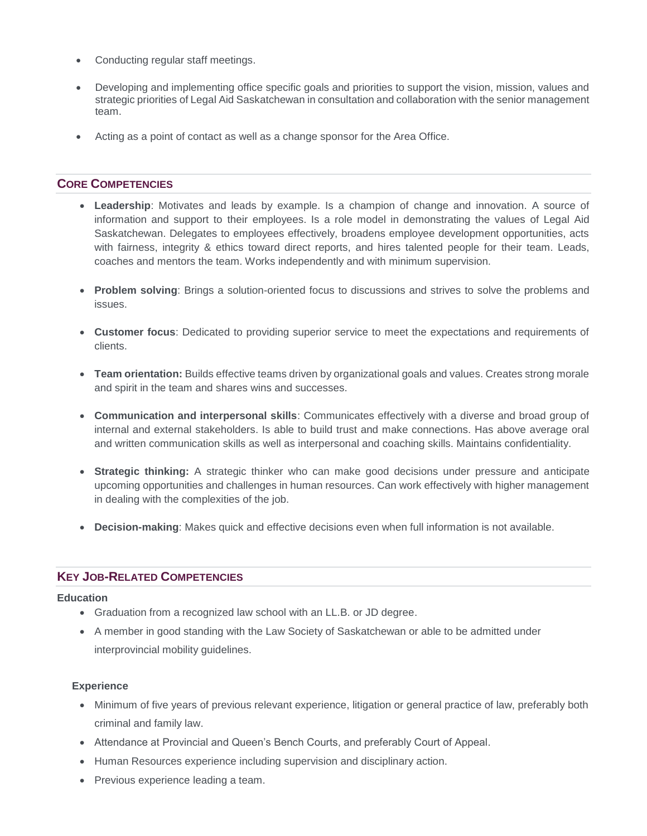- Conducting regular staff meetings.
- Developing and implementing office specific goals and priorities to support the vision, mission, values and strategic priorities of Legal Aid Saskatchewan in consultation and collaboration with the senior management team.
- Acting as a point of contact as well as a change sponsor for the Area Office.

## **CORE COMPETENCIES**

- **Leadership**: Motivates and leads by example. Is a champion of change and innovation. A source of information and support to their employees. Is a role model in demonstrating the values of Legal Aid Saskatchewan. Delegates to employees effectively, broadens employee development opportunities, acts with fairness, integrity & ethics toward direct reports, and hires talented people for their team. Leads, coaches and mentors the team. Works independently and with minimum supervision.
- **Problem solving**: Brings a solution-oriented focus to discussions and strives to solve the problems and issues.
- **Customer focus**: Dedicated to providing superior service to meet the expectations and requirements of clients.
- **Team orientation:** Builds effective teams driven by organizational goals and values. Creates strong morale and spirit in the team and shares wins and successes.
- **Communication and interpersonal skills**: Communicates effectively with a diverse and broad group of internal and external stakeholders. Is able to build trust and make connections. Has above average oral and written communication skills as well as interpersonal and coaching skills. Maintains confidentiality.
- **Strategic thinking:** A strategic thinker who can make good decisions under pressure and anticipate upcoming opportunities and challenges in human resources. Can work effectively with higher management in dealing with the complexities of the job.
- **Decision-making**: Makes quick and effective decisions even when full information is not available.

## **KEY JOB-RELATED COMPETENCIES**

#### **Education**

- Graduation from a recognized law school with an LL.B. or JD degree.
- A member in good standing with the Law Society of Saskatchewan or able to be admitted under interprovincial mobility guidelines.

#### **Experience**

- Minimum of five years of previous relevant experience, litigation or general practice of law, preferably both criminal and family law.
- Attendance at Provincial and Queen's Bench Courts, and preferably Court of Appeal.
- Human Resources experience including supervision and disciplinary action.
- Previous experience leading a team.